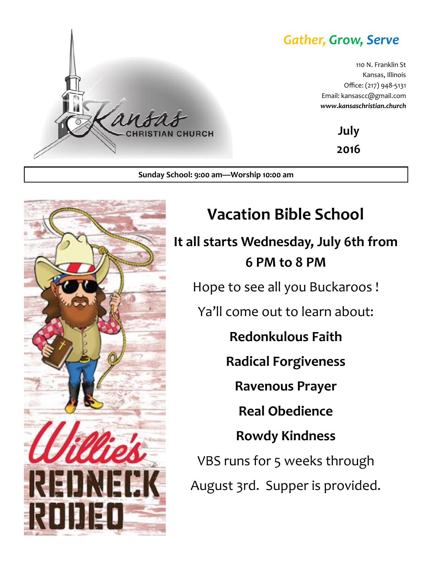### *Gather, Grow, Serve*

110 N. Franklin St Kansas, Illinois Office: (217) 948-5131 Email: kansascc@gmail.com *www.kansaschristian.church*

> **July 2016**

**Sunday School: 9:00 am—Worship 10:00 am**

**TIAN CHURCH** 



a n

**Vacation Bible School It all starts Wednesday, July 6th from 6 PM to 8 PM** Hope to see all you Buckaroos ! Ya'll come out to learn about: **Redonkulous Faith Radical Forgiveness Ravenous Prayer Real Obedience Rowdy Kindness** VBS runs for 5 weeks through August 3rd. Supper is provided.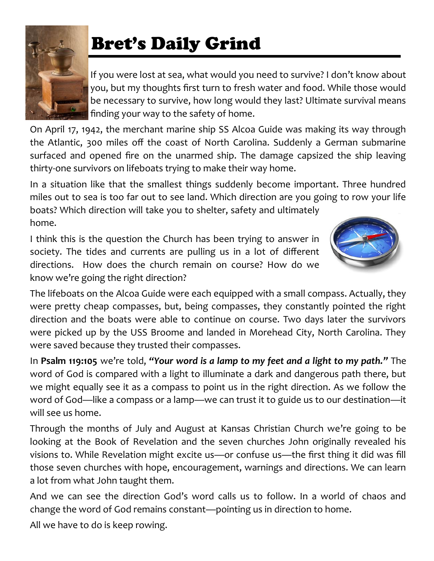

# Bret's Daily Grind

If you were lost at sea, what would you need to survive? I don't know about you, but my thoughts first turn to fresh water and food. While those would be necessary to survive, how long would they last? Ultimate survival means finding your way to the safety of home.

On April 17, 1942, the merchant marine ship SS Alcoa Guide was making its way through the Atlantic, 300 miles off the coast of North Carolina. Suddenly a German submarine surfaced and opened fire on the unarmed ship. The damage capsized the ship leaving thirty-one survivors on lifeboats trying to make their way home.

In a situation like that the smallest things suddenly become important. Three hundred miles out to sea is too far out to see land. Which direction are you going to row your life

boats? Which direction will take you to shelter, safety and ultimately home.

I think this is the question the Church has been trying to answer in society. The tides and currents are pulling us in a lot of different directions. How does the church remain on course? How do we know we're going the right direction?



The lifeboats on the Alcoa Guide were each equipped with a small compass. Actually, they were pretty cheap compasses, but, being compasses, they constantly pointed the right direction and the boats were able to continue on course. Two days later the survivors were picked up by the USS Broome and landed in Morehead City, North Carolina. They were saved because they trusted their compasses.

In **Psalm 119:105** we're told, *"Your word is a lamp to my feet and a light to my path."* The word of God is compared with a light to illuminate a dark and dangerous path there, but we might equally see it as a compass to point us in the right direction. As we follow the word of God—like a compass or a lamp—we can trust it to guide us to our destination—it will see us home.

Through the months of July and August at Kansas Christian Church we're going to be looking at the Book of Revelation and the seven churches John originally revealed his visions to. While Revelation might excite us—or confuse us—the first thing it did was fill those seven churches with hope, encouragement, warnings and directions. We can learn a lot from what John taught them.

And we can see the direction God's word calls us to follow. In a world of chaos and change the word of God remains constant—pointing us in direction to home.

All we have to do is keep rowing.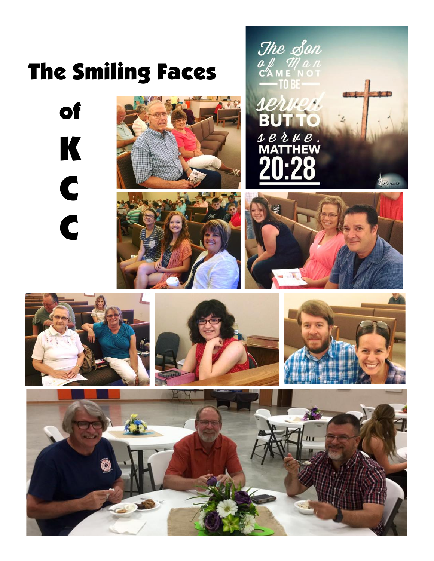